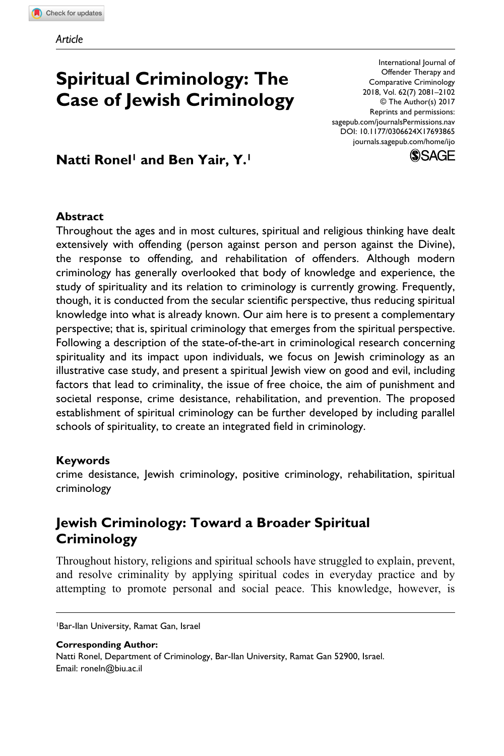# **Spiritual Criminology: The Case of Jewish Criminology**

DOI: 10.1177/0306624X17693865 International Journal of Offender Therapy and Comparative Criminology 2018, Vol. 62(7) 2081–2102 © The Author(s) 2017 Reprints and permissions: [sagepub.com/journalsPermissions.nav](https://us.sagepub.com/en-us/journals-permissions) [journals.sagepub.com/home/ijo](https://journals.sagepub.com/home/ijo)



**Natti Ronel<sup>1</sup> and Ben Yair, Y.<sup>1</sup>** 

#### **Abstract**

Throughout the ages and in most cultures, spiritual and religious thinking have dealt extensively with offending (person against person and person against the Divine), the response to offending, and rehabilitation of offenders. Although modern criminology has generally overlooked that body of knowledge and experience, the study of spirituality and its relation to criminology is currently growing. Frequently, though, it is conducted from the secular scientific perspective, thus reducing spiritual knowledge into what is already known. Our aim here is to present a complementary perspective; that is, spiritual criminology that emerges from the spiritual perspective. Following a description of the state-of-the-art in criminological research concerning spirituality and its impact upon individuals, we focus on Jewish criminology as an illustrative case study, and present a spiritual Jewish view on good and evil, including factors that lead to criminality, the issue of free choice, the aim of punishment and societal response, crime desistance, rehabilitation, and prevention. The proposed establishment of spiritual criminology can be further developed by including parallel schools of spirituality, to create an integrated field in criminology.

#### **Keywords**

crime desistance, Jewish criminology, positive criminology, rehabilitation, spiritual criminology

# **Jewish Criminology: Toward a Broader Spiritual Criminology**

Throughout history, religions and spiritual schools have struggled to explain, prevent, and resolve criminality by applying spiritual codes in everyday practice and by attempting to promote personal and social peace. This knowledge, however, is

1Bar-Ilan University, Ramat Gan, Israel

**Corresponding Author:** Natti Ronel, Department of Criminology, Bar-Ilan University, Ramat Gan 52900, Israel. Email: [roneln@biu.ac.il](mailto:roneln@biu.ac.il)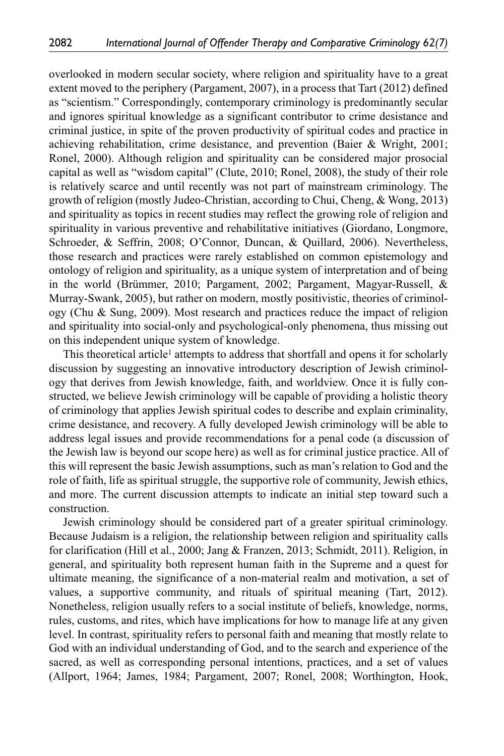overlooked in modern secular society, where religion and spirituality have to a great extent moved to the periphery (Pargament, 2007), in a process that Tart (2012) defined as "scientism." Correspondingly, contemporary criminology is predominantly secular and ignores spiritual knowledge as a significant contributor to crime desistance and criminal justice, in spite of the proven productivity of spiritual codes and practice in achieving rehabilitation, crime desistance, and prevention (Baier & Wright, 2001; Ronel, 2000). Although religion and spirituality can be considered major prosocial capital as well as "wisdom capital" (Clute, 2010; Ronel, 2008), the study of their role is relatively scarce and until recently was not part of mainstream criminology. The growth of religion (mostly Judeo-Christian, according to Chui, Cheng, & Wong, 2013) and spirituality as topics in recent studies may reflect the growing role of religion and spirituality in various preventive and rehabilitative initiatives (Giordano, Longmore, Schroeder, & Seffrin, 2008; O'Connor, Duncan, & Quillard, 2006). Nevertheless, those research and practices were rarely established on common epistemology and ontology of religion and spirituality, as a unique system of interpretation and of being in the world (Brümmer, 2010; Pargament, 2002; Pargament, Magyar-Russell, & Murray-Swank, 2005), but rather on modern, mostly positivistic, theories of criminology (Chu & Sung, 2009). Most research and practices reduce the impact of religion and spirituality into social-only and psychological-only phenomena, thus missing out on this independent unique system of knowledge.

This theoretical article<sup>1</sup> attempts to address that shortfall and opens it for scholarly discussion by suggesting an innovative introductory description of Jewish criminology that derives from Jewish knowledge, faith, and worldview. Once it is fully constructed, we believe Jewish criminology will be capable of providing a holistic theory of criminology that applies Jewish spiritual codes to describe and explain criminality, crime desistance, and recovery. A fully developed Jewish criminology will be able to address legal issues and provide recommendations for a penal code (a discussion of the Jewish law is beyond our scope here) as well as for criminal justice practice. All of this will represent the basic Jewish assumptions, such as man's relation to God and the role of faith, life as spiritual struggle, the supportive role of community, Jewish ethics, and more. The current discussion attempts to indicate an initial step toward such a construction.

Jewish criminology should be considered part of a greater spiritual criminology. Because Judaism is a religion, the relationship between religion and spirituality calls for clarification (Hill et al., 2000; Jang & Franzen, 2013; Schmidt, 2011). Religion, in general, and spirituality both represent human faith in the Supreme and a quest for ultimate meaning, the significance of a non-material realm and motivation, a set of values, a supportive community, and rituals of spiritual meaning (Tart, 2012). Nonetheless, religion usually refers to a social institute of beliefs, knowledge, norms, rules, customs, and rites, which have implications for how to manage life at any given level. In contrast, spirituality refers to personal faith and meaning that mostly relate to God with an individual understanding of God, and to the search and experience of the sacred, as well as corresponding personal intentions, practices, and a set of values (Allport, 1964; James, 1984; Pargament, 2007; Ronel, 2008; Worthington, Hook,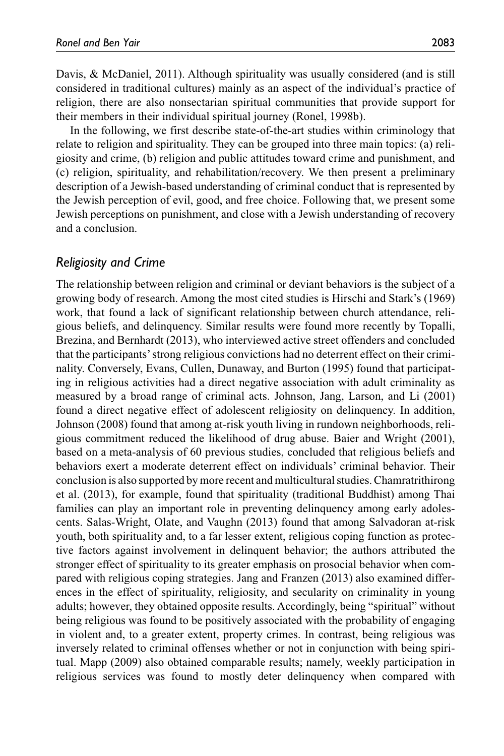Davis, & McDaniel, 2011). Although spirituality was usually considered (and is still considered in traditional cultures) mainly as an aspect of the individual's practice of religion, there are also nonsectarian spiritual communities that provide support for their members in their individual spiritual journey (Ronel, 1998b).

In the following, we first describe state-of-the-art studies within criminology that relate to religion and spirituality. They can be grouped into three main topics: (a) religiosity and crime, (b) religion and public attitudes toward crime and punishment, and (c) religion, spirituality, and rehabilitation/recovery. We then present a preliminary description of a Jewish-based understanding of criminal conduct that is represented by the Jewish perception of evil, good, and free choice. Following that, we present some Jewish perceptions on punishment, and close with a Jewish understanding of recovery and a conclusion.

#### *Religiosity and Crime*

The relationship between religion and criminal or deviant behaviors is the subject of a growing body of research. Among the most cited studies is Hirschi and Stark's (1969) work, that found a lack of significant relationship between church attendance, religious beliefs, and delinquency. Similar results were found more recently by Topalli, Brezina, and Bernhardt (2013), who interviewed active street offenders and concluded that the participants' strong religious convictions had no deterrent effect on their criminality. Conversely, Evans, Cullen, Dunaway, and Burton (1995) found that participating in religious activities had a direct negative association with adult criminality as measured by a broad range of criminal acts. Johnson, Jang, Larson, and Li (2001) found a direct negative effect of adolescent religiosity on delinquency. In addition, Johnson (2008) found that among at-risk youth living in rundown neighborhoods, religious commitment reduced the likelihood of drug abuse. Baier and Wright (2001), based on a meta-analysis of 60 previous studies, concluded that religious beliefs and behaviors exert a moderate deterrent effect on individuals' criminal behavior. Their conclusion is also supported by more recent and multicultural studies. Chamratrithirong et al. (2013), for example, found that spirituality (traditional Buddhist) among Thai families can play an important role in preventing delinquency among early adolescents. Salas-Wright, Olate, and Vaughn (2013) found that among Salvadoran at-risk youth, both spirituality and, to a far lesser extent, religious coping function as protective factors against involvement in delinquent behavior; the authors attributed the stronger effect of spirituality to its greater emphasis on prosocial behavior when compared with religious coping strategies. Jang and Franzen (2013) also examined differences in the effect of spirituality, religiosity, and secularity on criminality in young adults; however, they obtained opposite results. Accordingly, being "spiritual" without being religious was found to be positively associated with the probability of engaging in violent and, to a greater extent, property crimes. In contrast, being religious was inversely related to criminal offenses whether or not in conjunction with being spiritual. Mapp (2009) also obtained comparable results; namely, weekly participation in religious services was found to mostly deter delinquency when compared with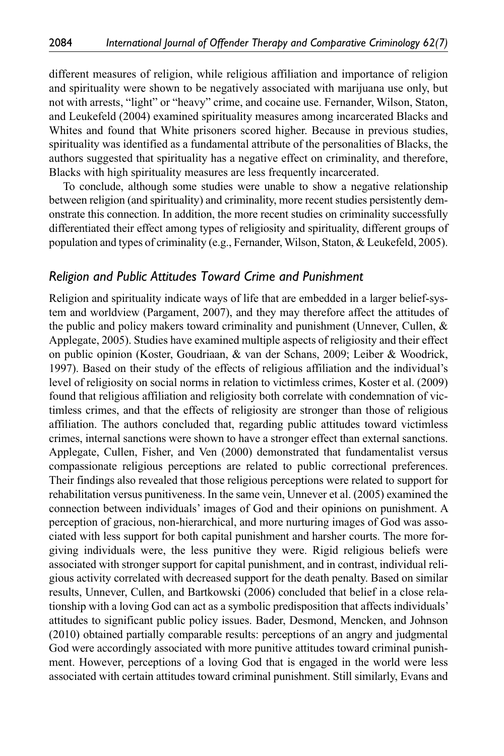different measures of religion, while religious affiliation and importance of religion and spirituality were shown to be negatively associated with marijuana use only, but not with arrests, "light" or "heavy" crime, and cocaine use. Fernander, Wilson, Staton, and Leukefeld (2004) examined spirituality measures among incarcerated Blacks and Whites and found that White prisoners scored higher. Because in previous studies, spirituality was identified as a fundamental attribute of the personalities of Blacks, the authors suggested that spirituality has a negative effect on criminality, and therefore, Blacks with high spirituality measures are less frequently incarcerated.

To conclude, although some studies were unable to show a negative relationship between religion (and spirituality) and criminality, more recent studies persistently demonstrate this connection. In addition, the more recent studies on criminality successfully differentiated their effect among types of religiosity and spirituality, different groups of population and types of criminality (e.g., Fernander, Wilson, Staton, & Leukefeld, 2005).

#### *Religion and Public Attitudes Toward Crime and Punishment*

Religion and spirituality indicate ways of life that are embedded in a larger belief-system and worldview (Pargament, 2007), and they may therefore affect the attitudes of the public and policy makers toward criminality and punishment (Unnever, Cullen, & Applegate, 2005). Studies have examined multiple aspects of religiosity and their effect on public opinion (Koster, Goudriaan, & van der Schans, 2009; Leiber & Woodrick, 1997). Based on their study of the effects of religious affiliation and the individual's level of religiosity on social norms in relation to victimless crimes, Koster et al. (2009) found that religious affiliation and religiosity both correlate with condemnation of victimless crimes, and that the effects of religiosity are stronger than those of religious affiliation. The authors concluded that, regarding public attitudes toward victimless crimes, internal sanctions were shown to have a stronger effect than external sanctions. Applegate, Cullen, Fisher, and Ven (2000) demonstrated that fundamentalist versus compassionate religious perceptions are related to public correctional preferences. Their findings also revealed that those religious perceptions were related to support for rehabilitation versus punitiveness. In the same vein, Unnever et al. (2005) examined the connection between individuals' images of God and their opinions on punishment. A perception of gracious, non-hierarchical, and more nurturing images of God was associated with less support for both capital punishment and harsher courts. The more forgiving individuals were, the less punitive they were. Rigid religious beliefs were associated with stronger support for capital punishment, and in contrast, individual religious activity correlated with decreased support for the death penalty. Based on similar results, Unnever, Cullen, and Bartkowski (2006) concluded that belief in a close relationship with a loving God can act as a symbolic predisposition that affects individuals' attitudes to significant public policy issues. Bader, Desmond, Mencken, and Johnson (2010) obtained partially comparable results: perceptions of an angry and judgmental God were accordingly associated with more punitive attitudes toward criminal punishment. However, perceptions of a loving God that is engaged in the world were less associated with certain attitudes toward criminal punishment. Still similarly, Evans and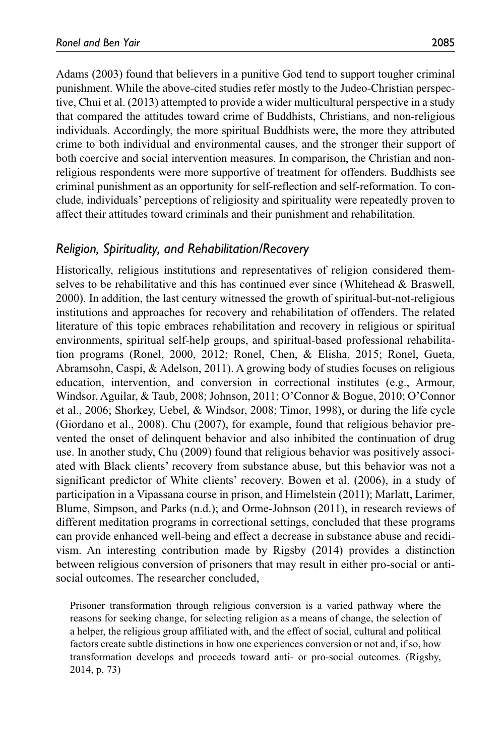Adams (2003) found that believers in a punitive God tend to support tougher criminal punishment. While the above-cited studies refer mostly to the Judeo-Christian perspective, Chui et al. (2013) attempted to provide a wider multicultural perspective in a study that compared the attitudes toward crime of Buddhists, Christians, and non-religious individuals. Accordingly, the more spiritual Buddhists were, the more they attributed crime to both individual and environmental causes, and the stronger their support of both coercive and social intervention measures. In comparison, the Christian and nonreligious respondents were more supportive of treatment for offenders. Buddhists see criminal punishment as an opportunity for self-reflection and self-reformation. To conclude, individuals' perceptions of religiosity and spirituality were repeatedly proven to affect their attitudes toward criminals and their punishment and rehabilitation.

#### *Religion, Spirituality, and Rehabilitation/Recovery*

Historically, religious institutions and representatives of religion considered themselves to be rehabilitative and this has continued ever since (Whitehead & Braswell, 2000). In addition, the last century witnessed the growth of spiritual-but-not-religious institutions and approaches for recovery and rehabilitation of offenders. The related literature of this topic embraces rehabilitation and recovery in religious or spiritual environments, spiritual self-help groups, and spiritual-based professional rehabilitation programs (Ronel, 2000, 2012; Ronel, Chen, & Elisha, 2015; Ronel, Gueta, Abramsohn, Caspi, & Adelson, 2011). A growing body of studies focuses on religious education, intervention, and conversion in correctional institutes (e.g., Armour, Windsor, Aguilar, & Taub, 2008; Johnson, 2011; O'Connor & Bogue, 2010; O'Connor et al., 2006; Shorkey, Uebel, & Windsor, 2008; Timor, 1998), or during the life cycle (Giordano et al., 2008). Chu (2007), for example, found that religious behavior prevented the onset of delinquent behavior and also inhibited the continuation of drug use. In another study, Chu (2009) found that religious behavior was positively associated with Black clients' recovery from substance abuse, but this behavior was not a significant predictor of White clients' recovery. Bowen et al. (2006), in a study of participation in a Vipassana course in prison, and Himelstein (2011); Marlatt, Larimer, Blume, Simpson, and Parks (n.d.); and Orme-Johnson (2011), in research reviews of different meditation programs in correctional settings, concluded that these programs can provide enhanced well-being and effect a decrease in substance abuse and recidivism. An interesting contribution made by Rigsby (2014) provides a distinction between religious conversion of prisoners that may result in either pro-social or antisocial outcomes. The researcher concluded,

Prisoner transformation through religious conversion is a varied pathway where the reasons for seeking change, for selecting religion as a means of change, the selection of a helper, the religious group affiliated with, and the effect of social, cultural and political factors create subtle distinctions in how one experiences conversion or not and, if so, how transformation develops and proceeds toward anti- or pro-social outcomes. (Rigsby, 2014, p. 73)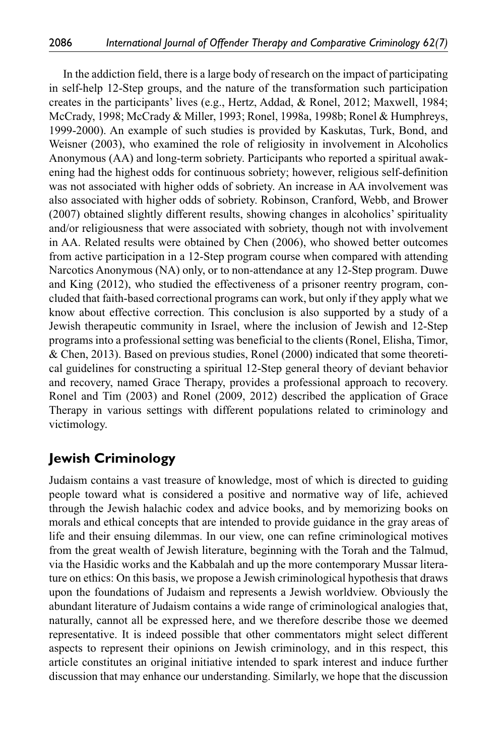In the addiction field, there is a large body of research on the impact of participating in self-help 12-Step groups, and the nature of the transformation such participation creates in the participants' lives (e.g., Hertz, Addad, & Ronel, 2012; Maxwell, 1984; McCrady, 1998; McCrady & Miller, 1993; Ronel, 1998a, 1998b; Ronel & Humphreys, 1999-2000). An example of such studies is provided by Kaskutas, Turk, Bond, and Weisner (2003), who examined the role of religiosity in involvement in Alcoholics Anonymous (AA) and long-term sobriety. Participants who reported a spiritual awakening had the highest odds for continuous sobriety; however, religious self-definition was not associated with higher odds of sobriety. An increase in AA involvement was also associated with higher odds of sobriety. Robinson, Cranford, Webb, and Brower (2007) obtained slightly different results, showing changes in alcoholics' spirituality and/or religiousness that were associated with sobriety, though not with involvement in AA. Related results were obtained by Chen (2006), who showed better outcomes from active participation in a 12-Step program course when compared with attending Narcotics Anonymous (NA) only, or to non-attendance at any 12-Step program. Duwe and King (2012), who studied the effectiveness of a prisoner reentry program, concluded that faith-based correctional programs can work, but only if they apply what we know about effective correction. This conclusion is also supported by a study of a Jewish therapeutic community in Israel, where the inclusion of Jewish and 12-Step programs into a professional setting was beneficial to the clients (Ronel, Elisha, Timor, & Chen, 2013). Based on previous studies, Ronel (2000) indicated that some theoretical guidelines for constructing a spiritual 12-Step general theory of deviant behavior and recovery, named Grace Therapy, provides a professional approach to recovery. Ronel and Tim (2003) and Ronel (2009, 2012) described the application of Grace Therapy in various settings with different populations related to criminology and victimology.

## **Jewish Criminology**

Judaism contains a vast treasure of knowledge, most of which is directed to guiding people toward what is considered a positive and normative way of life, achieved through the Jewish halachic codex and advice books, and by memorizing books on morals and ethical concepts that are intended to provide guidance in the gray areas of life and their ensuing dilemmas. In our view, one can refine criminological motives from the great wealth of Jewish literature, beginning with the Torah and the Talmud, via the Hasidic works and the Kabbalah and up the more contemporary Mussar literature on ethics: On this basis, we propose a Jewish criminological hypothesis that draws upon the foundations of Judaism and represents a Jewish worldview. Obviously the abundant literature of Judaism contains a wide range of criminological analogies that, naturally, cannot all be expressed here, and we therefore describe those we deemed representative. It is indeed possible that other commentators might select different aspects to represent their opinions on Jewish criminology, and in this respect, this article constitutes an original initiative intended to spark interest and induce further discussion that may enhance our understanding. Similarly, we hope that the discussion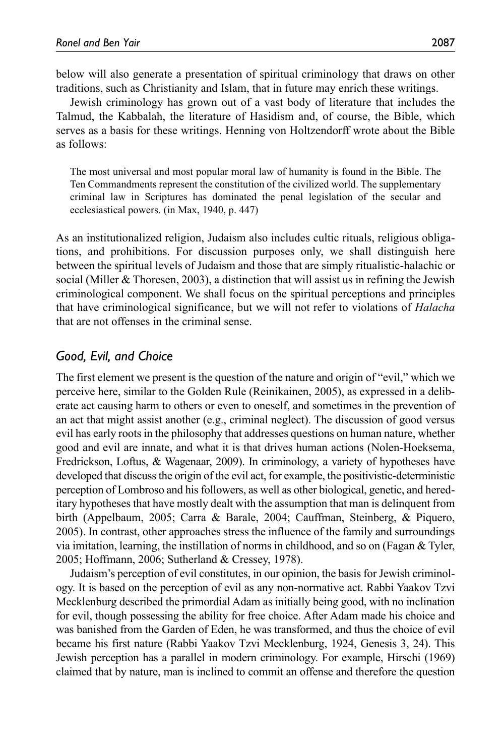below will also generate a presentation of spiritual criminology that draws on other traditions, such as Christianity and Islam, that in future may enrich these writings.

Jewish criminology has grown out of a vast body of literature that includes the Talmud, the Kabbalah, the literature of Hasidism and, of course, the Bible, which serves as a basis for these writings. Henning von Holtzendorff wrote about the Bible as follows:

The most universal and most popular moral law of humanity is found in the Bible. The Ten Commandments represent the constitution of the civilized world. The supplementary criminal law in Scriptures has dominated the penal legislation of the secular and ecclesiastical powers. (in Max, 1940, p. 447)

As an institutionalized religion, Judaism also includes cultic rituals, religious obligations, and prohibitions. For discussion purposes only, we shall distinguish here between the spiritual levels of Judaism and those that are simply ritualistic-halachic or social (Miller & Thoresen, 2003), a distinction that will assist us in refining the Jewish criminological component. We shall focus on the spiritual perceptions and principles that have criminological significance, but we will not refer to violations of *Halacha* that are not offenses in the criminal sense.

#### *Good, Evil, and Choice*

The first element we present is the question of the nature and origin of "evil," which we perceive here, similar to the Golden Rule (Reinikainen, 2005), as expressed in a deliberate act causing harm to others or even to oneself, and sometimes in the prevention of an act that might assist another (e.g., criminal neglect). The discussion of good versus evil has early roots in the philosophy that addresses questions on human nature, whether good and evil are innate, and what it is that drives human actions (Nolen-Hoeksema, Fredrickson, Loftus, & Wagenaar, 2009). In criminology, a variety of hypotheses have developed that discuss the origin of the evil act, for example, the positivistic-deterministic perception of Lombroso and his followers, as well as other biological, genetic, and hereditary hypotheses that have mostly dealt with the assumption that man is delinquent from birth (Appelbaum, 2005; Carra & Barale, 2004; Cauffman, Steinberg, & Piquero, 2005). In contrast, other approaches stress the influence of the family and surroundings via imitation, learning, the instillation of norms in childhood, and so on (Fagan  $&$  Tyler, 2005; Hoffmann, 2006; Sutherland & Cressey, 1978).

Judaism's perception of evil constitutes, in our opinion, the basis for Jewish criminology. It is based on the perception of evil as any non-normative act. Rabbi Yaakov Tzvi Mecklenburg described the primordial Adam as initially being good, with no inclination for evil, though possessing the ability for free choice. After Adam made his choice and was banished from the Garden of Eden, he was transformed, and thus the choice of evil became his first nature (Rabbi Yaakov Tzvi Mecklenburg, 1924, Genesis 3, 24). This Jewish perception has a parallel in modern criminology. For example, Hirschi (1969) claimed that by nature, man is inclined to commit an offense and therefore the question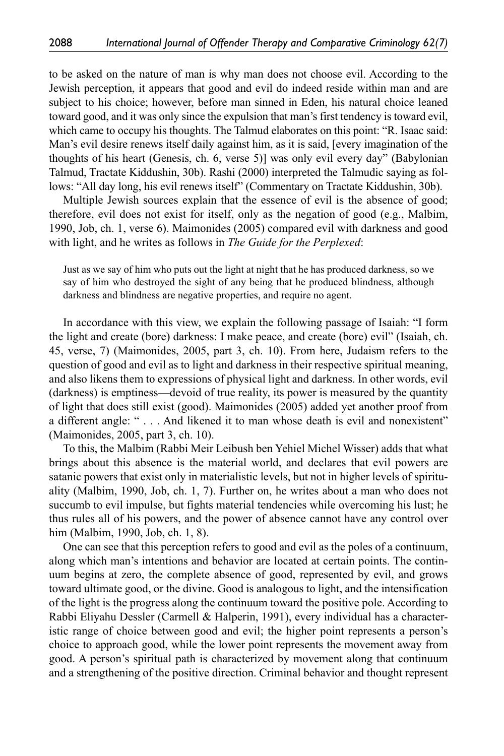to be asked on the nature of man is why man does not choose evil. According to the Jewish perception, it appears that good and evil do indeed reside within man and are subject to his choice; however, before man sinned in Eden, his natural choice leaned toward good, and it was only since the expulsion that man's first tendency is toward evil, which came to occupy his thoughts. The Talmud elaborates on this point: "R. Isaac said: Man's evil desire renews itself daily against him, as it is said, [every imagination of the thoughts of his heart (Genesis, ch. 6, verse 5)] was only evil every day" (Babylonian Talmud, Tractate Kiddushin, 30b). Rashi (2000) interpreted the Talmudic saying as follows: "All day long, his evil renews itself" (Commentary on Tractate Kiddushin, 30b).

Multiple Jewish sources explain that the essence of evil is the absence of good; therefore, evil does not exist for itself, only as the negation of good (e.g., Malbim, 1990, Job, ch. 1, verse 6). Maimonides (2005) compared evil with darkness and good with light, and he writes as follows in *The Guide for the Perplexed*:

Just as we say of him who puts out the light at night that he has produced darkness, so we say of him who destroyed the sight of any being that he produced blindness, although darkness and blindness are negative properties, and require no agent.

In accordance with this view, we explain the following passage of Isaiah: "I form the light and create (bore) darkness: I make peace, and create (bore) evil" (Isaiah, ch. 45, verse, 7) (Maimonides, 2005, part 3, ch. 10). From here, Judaism refers to the question of good and evil as to light and darkness in their respective spiritual meaning, and also likens them to expressions of physical light and darkness. In other words, evil (darkness) is emptiness—devoid of true reality, its power is measured by the quantity of light that does still exist (good). Maimonides (2005) added yet another proof from a different angle: " . . . And likened it to man whose death is evil and nonexistent" (Maimonides, 2005, part 3, ch. 10).

To this, the Malbim (Rabbi Meir Leibush ben Yehiel Michel Wisser) adds that what brings about this absence is the material world, and declares that evil powers are satanic powers that exist only in materialistic levels, but not in higher levels of spirituality (Malbim, 1990, Job, ch. 1, 7). Further on, he writes about a man who does not succumb to evil impulse, but fights material tendencies while overcoming his lust; he thus rules all of his powers, and the power of absence cannot have any control over him (Malbim, 1990, Job, ch. 1, 8).

One can see that this perception refers to good and evil as the poles of a continuum, along which man's intentions and behavior are located at certain points. The continuum begins at zero, the complete absence of good, represented by evil, and grows toward ultimate good, or the divine. Good is analogous to light, and the intensification of the light is the progress along the continuum toward the positive pole. According to Rabbi Eliyahu Dessler (Carmell & Halperin, 1991), every individual has a characteristic range of choice between good and evil; the higher point represents a person's choice to approach good, while the lower point represents the movement away from good. A person's spiritual path is characterized by movement along that continuum and a strengthening of the positive direction. Criminal behavior and thought represent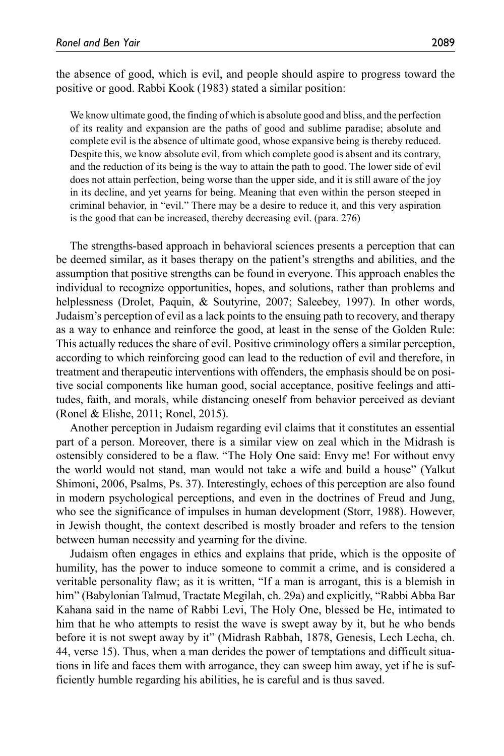the absence of good, which is evil, and people should aspire to progress toward the positive or good. Rabbi Kook (1983) stated a similar position:

We know ultimate good, the finding of which is absolute good and bliss, and the perfection of its reality and expansion are the paths of good and sublime paradise; absolute and complete evil is the absence of ultimate good, whose expansive being is thereby reduced. Despite this, we know absolute evil, from which complete good is absent and its contrary, and the reduction of its being is the way to attain the path to good. The lower side of evil does not attain perfection, being worse than the upper side, and it is still aware of the joy in its decline, and yet yearns for being. Meaning that even within the person steeped in criminal behavior, in "evil." There may be a desire to reduce it, and this very aspiration is the good that can be increased, thereby decreasing evil. (para. 276)

The strengths-based approach in behavioral sciences presents a perception that can be deemed similar, as it bases therapy on the patient's strengths and abilities, and the assumption that positive strengths can be found in everyone. This approach enables the individual to recognize opportunities, hopes, and solutions, rather than problems and helplessness (Drolet, Paquin, & Soutyrine, 2007; Saleebey, 1997). In other words, Judaism's perception of evil as a lack points to the ensuing path to recovery, and therapy as a way to enhance and reinforce the good, at least in the sense of the Golden Rule: This actually reduces the share of evil. Positive criminology offers a similar perception, according to which reinforcing good can lead to the reduction of evil and therefore, in treatment and therapeutic interventions with offenders, the emphasis should be on positive social components like human good, social acceptance, positive feelings and attitudes, faith, and morals, while distancing oneself from behavior perceived as deviant (Ronel & Elishe, 2011; Ronel, 2015).

Another perception in Judaism regarding evil claims that it constitutes an essential part of a person. Moreover, there is a similar view on zeal which in the Midrash is ostensibly considered to be a flaw. "The Holy One said: Envy me! For without envy the world would not stand, man would not take a wife and build a house" (Yalkut Shimoni, 2006, Psalms, Ps. 37). Interestingly, echoes of this perception are also found in modern psychological perceptions, and even in the doctrines of Freud and Jung, who see the significance of impulses in human development (Storr, 1988). However, in Jewish thought, the context described is mostly broader and refers to the tension between human necessity and yearning for the divine.

Judaism often engages in ethics and explains that pride, which is the opposite of humility, has the power to induce someone to commit a crime, and is considered a veritable personality flaw; as it is written, "If a man is arrogant, this is a blemish in him" (Babylonian Talmud, Tractate Megilah, ch. 29a) and explicitly, "Rabbi Abba Bar Kahana said in the name of Rabbi Levi, The Holy One, blessed be He, intimated to him that he who attempts to resist the wave is swept away by it, but he who bends before it is not swept away by it" (Midrash Rabbah, 1878, Genesis, Lech Lecha, ch. 44, verse 15). Thus, when a man derides the power of temptations and difficult situations in life and faces them with arrogance, they can sweep him away, yet if he is sufficiently humble regarding his abilities, he is careful and is thus saved.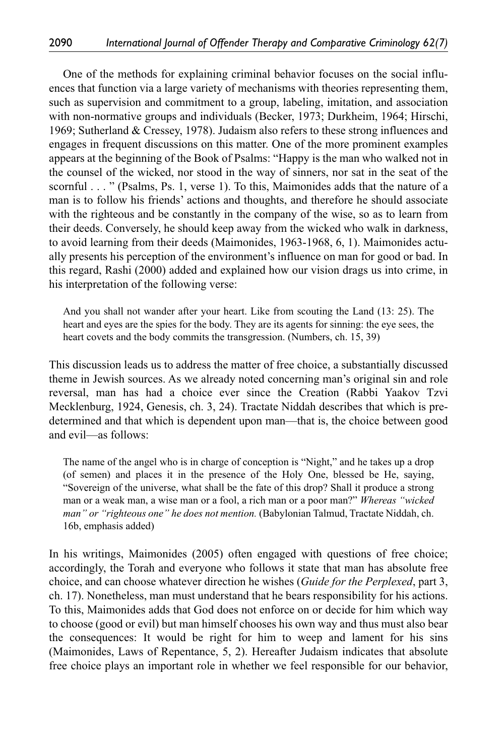One of the methods for explaining criminal behavior focuses on the social influences that function via a large variety of mechanisms with theories representing them, such as supervision and commitment to a group, labeling, imitation, and association with non-normative groups and individuals (Becker, 1973; Durkheim, 1964; Hirschi, 1969; Sutherland & Cressey, 1978). Judaism also refers to these strong influences and engages in frequent discussions on this matter. One of the more prominent examples appears at the beginning of the Book of Psalms: "Happy is the man who walked not in the counsel of the wicked, nor stood in the way of sinners, nor sat in the seat of the scornful . . . " (Psalms, Ps. 1, verse 1). To this, Maimonides adds that the nature of a man is to follow his friends' actions and thoughts, and therefore he should associate with the righteous and be constantly in the company of the wise, so as to learn from their deeds. Conversely, he should keep away from the wicked who walk in darkness, to avoid learning from their deeds (Maimonides, 1963-1968, 6, 1). Maimonides actually presents his perception of the environment's influence on man for good or bad. In this regard, Rashi (2000) added and explained how our vision drags us into crime, in his interpretation of the following verse:

And you shall not wander after your heart. Like from scouting the Land (13: 25). The heart and eyes are the spies for the body. They are its agents for sinning: the eye sees, the heart covets and the body commits the transgression. (Numbers, ch. 15, 39)

This discussion leads us to address the matter of free choice, a substantially discussed theme in Jewish sources. As we already noted concerning man's original sin and role reversal, man has had a choice ever since the Creation (Rabbi Yaakov Tzvi Mecklenburg, 1924, Genesis, ch. 3, 24). Tractate Niddah describes that which is predetermined and that which is dependent upon man—that is, the choice between good and evil—as follows:

The name of the angel who is in charge of conception is "Night," and he takes up a drop (of semen) and places it in the presence of the Holy One, blessed be He, saying, "Sovereign of the universe, what shall be the fate of this drop? Shall it produce a strong man or a weak man, a wise man or a fool, a rich man or a poor man?" *Whereas "wicked man" or "righteous one" he does not mention.* (Babylonian Talmud, Tractate Niddah, ch. 16b, emphasis added)

In his writings, Maimonides (2005) often engaged with questions of free choice; accordingly, the Torah and everyone who follows it state that man has absolute free choice, and can choose whatever direction he wishes (*Guide for the Perplexed*, part 3, ch. 17). Nonetheless, man must understand that he bears responsibility for his actions. To this, Maimonides adds that God does not enforce on or decide for him which way to choose (good or evil) but man himself chooses his own way and thus must also bear the consequences: It would be right for him to weep and lament for his sins (Maimonides, Laws of Repentance, 5, 2). Hereafter Judaism indicates that absolute free choice plays an important role in whether we feel responsible for our behavior,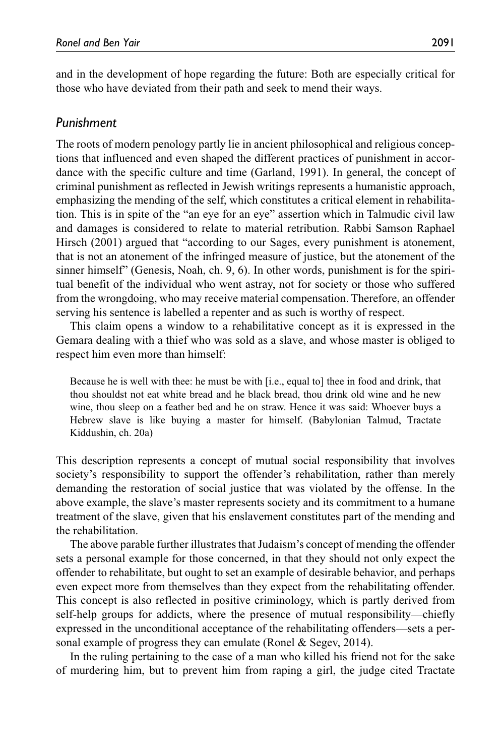and in the development of hope regarding the future: Both are especially critical for those who have deviated from their path and seek to mend their ways.

### *Punishment*

The roots of modern penology partly lie in ancient philosophical and religious conceptions that influenced and even shaped the different practices of punishment in accordance with the specific culture and time (Garland, 1991). In general, the concept of criminal punishment as reflected in Jewish writings represents a humanistic approach, emphasizing the mending of the self, which constitutes a critical element in rehabilitation. This is in spite of the "an eye for an eye" assertion which in Talmudic civil law and damages is considered to relate to material retribution. Rabbi Samson Raphael Hirsch (2001) argued that "according to our Sages, every punishment is atonement, that is not an atonement of the infringed measure of justice, but the atonement of the sinner himself" (Genesis, Noah, ch. 9, 6). In other words, punishment is for the spiritual benefit of the individual who went astray, not for society or those who suffered from the wrongdoing, who may receive material compensation. Therefore, an offender serving his sentence is labelled a repenter and as such is worthy of respect.

This claim opens a window to a rehabilitative concept as it is expressed in the Gemara dealing with a thief who was sold as a slave, and whose master is obliged to respect him even more than himself:

Because he is well with thee: he must be with [i.e., equal to] thee in food and drink, that thou shouldst not eat white bread and he black bread, thou drink old wine and he new wine, thou sleep on a feather bed and he on straw. Hence it was said: Whoever buys a Hebrew slave is like buying a master for himself. (Babylonian Talmud, Tractate Kiddushin, ch. 20a)

This description represents a concept of mutual social responsibility that involves society's responsibility to support the offender's rehabilitation, rather than merely demanding the restoration of social justice that was violated by the offense. In the above example, the slave's master represents society and its commitment to a humane treatment of the slave, given that his enslavement constitutes part of the mending and the rehabilitation.

The above parable further illustrates that Judaism's concept of mending the offender sets a personal example for those concerned, in that they should not only expect the offender to rehabilitate, but ought to set an example of desirable behavior, and perhaps even expect more from themselves than they expect from the rehabilitating offender. This concept is also reflected in positive criminology, which is partly derived from self-help groups for addicts, where the presence of mutual responsibility—chiefly expressed in the unconditional acceptance of the rehabilitating offenders—sets a personal example of progress they can emulate (Ronel & Segev, 2014).

In the ruling pertaining to the case of a man who killed his friend not for the sake of murdering him, but to prevent him from raping a girl, the judge cited Tractate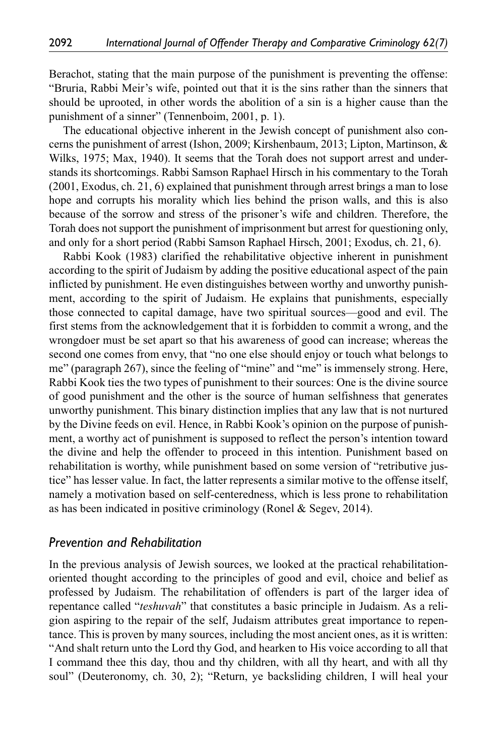Berachot, stating that the main purpose of the punishment is preventing the offense: "Bruria, Rabbi Meir's wife, pointed out that it is the sins rather than the sinners that should be uprooted, in other words the abolition of a sin is a higher cause than the punishment of a sinner" (Tennenboim, 2001, p. 1).

The educational objective inherent in the Jewish concept of punishment also concerns the punishment of arrest (Ishon, 2009; Kirshenbaum, 2013; Lipton, Martinson, & Wilks, 1975; Max, 1940). It seems that the Torah does not support arrest and understands its shortcomings. Rabbi Samson Raphael Hirsch in his commentary to the Torah (2001, Exodus, ch. 21, 6) explained that punishment through arrest brings a man to lose hope and corrupts his morality which lies behind the prison walls, and this is also because of the sorrow and stress of the prisoner's wife and children. Therefore, the Torah does not support the punishment of imprisonment but arrest for questioning only, and only for a short period (Rabbi Samson Raphael Hirsch, 2001; Exodus, ch. 21, 6).

Rabbi Kook (1983) clarified the rehabilitative objective inherent in punishment according to the spirit of Judaism by adding the positive educational aspect of the pain inflicted by punishment. He even distinguishes between worthy and unworthy punishment, according to the spirit of Judaism. He explains that punishments, especially those connected to capital damage, have two spiritual sources—good and evil. The first stems from the acknowledgement that it is forbidden to commit a wrong, and the wrongdoer must be set apart so that his awareness of good can increase; whereas the second one comes from envy, that "no one else should enjoy or touch what belongs to me" (paragraph 267), since the feeling of "mine" and "me" is immensely strong. Here, Rabbi Kook ties the two types of punishment to their sources: One is the divine source of good punishment and the other is the source of human selfishness that generates unworthy punishment. This binary distinction implies that any law that is not nurtured by the Divine feeds on evil. Hence, in Rabbi Kook's opinion on the purpose of punishment, a worthy act of punishment is supposed to reflect the person's intention toward the divine and help the offender to proceed in this intention. Punishment based on rehabilitation is worthy, while punishment based on some version of "retributive justice" has lesser value. In fact, the latter represents a similar motive to the offense itself, namely a motivation based on self-centeredness, which is less prone to rehabilitation as has been indicated in positive criminology (Ronel & Segev, 2014).

#### *Prevention and Rehabilitation*

In the previous analysis of Jewish sources, we looked at the practical rehabilitationoriented thought according to the principles of good and evil, choice and belief as professed by Judaism. The rehabilitation of offenders is part of the larger idea of repentance called "*teshuvah*" that constitutes a basic principle in Judaism. As a religion aspiring to the repair of the self, Judaism attributes great importance to repentance. This is proven by many sources, including the most ancient ones, as it is written: "And shalt return unto the Lord thy God, and hearken to His voice according to all that I command thee this day, thou and thy children, with all thy heart, and with all thy soul" (Deuteronomy, ch. 30, 2); "Return, ye backsliding children, I will heal your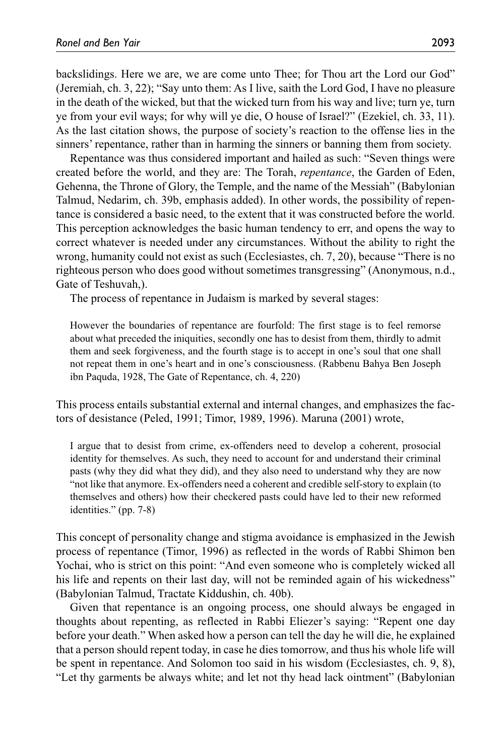backslidings. Here we are, we are come unto Thee; for Thou art the Lord our God" (Jeremiah, ch. 3, 22); "Say unto them: As I live, saith the Lord God, I have no pleasure in the death of the wicked, but that the wicked turn from his way and live; turn ye, turn ye from your evil ways; for why will ye die, O house of Israel?" (Ezekiel, ch. 33, 11). As the last citation shows, the purpose of society's reaction to the offense lies in the sinners' repentance, rather than in harming the sinners or banning them from society.

Repentance was thus considered important and hailed as such: "Seven things were created before the world, and they are: The Torah, *repentance*, the Garden of Eden, Gehenna, the Throne of Glory, the Temple, and the name of the Messiah" (Babylonian Talmud, Nedarim, ch. 39b, emphasis added). In other words, the possibility of repentance is considered a basic need, to the extent that it was constructed before the world. This perception acknowledges the basic human tendency to err, and opens the way to correct whatever is needed under any circumstances. Without the ability to right the wrong, humanity could not exist as such (Ecclesiastes, ch. 7, 20), because "There is no righteous person who does good without sometimes transgressing" (Anonymous, n.d., Gate of Teshuvah,).

The process of repentance in Judaism is marked by several stages:

However the boundaries of repentance are fourfold: The first stage is to feel remorse about what preceded the iniquities, secondly one has to desist from them, thirdly to admit them and seek forgiveness, and the fourth stage is to accept in one's soul that one shall not repeat them in one's heart and in one's consciousness. (Rabbenu Bahya Ben Joseph ibn Paquda, 1928, The Gate of Repentance, ch. 4, 220)

This process entails substantial external and internal changes, and emphasizes the factors of desistance (Peled, 1991; Timor, 1989, 1996). Maruna (2001) wrote,

I argue that to desist from crime, ex-offenders need to develop a coherent, prosocial identity for themselves. As such, they need to account for and understand their criminal pasts (why they did what they did), and they also need to understand why they are now "not like that anymore. Ex-offenders need a coherent and credible self-story to explain (to themselves and others) how their checkered pasts could have led to their new reformed identities." (pp. 7-8)

This concept of personality change and stigma avoidance is emphasized in the Jewish process of repentance (Timor, 1996) as reflected in the words of Rabbi Shimon ben Yochai, who is strict on this point: "And even someone who is completely wicked all his life and repents on their last day, will not be reminded again of his wickedness" (Babylonian Talmud, Tractate Kiddushin, ch. 40b).

Given that repentance is an ongoing process, one should always be engaged in thoughts about repenting, as reflected in Rabbi Eliezer's saying: "Repent one day before your death." When asked how a person can tell the day he will die, he explained that a person should repent today, in case he dies tomorrow, and thus his whole life will be spent in repentance. And Solomon too said in his wisdom (Ecclesiastes, ch. 9, 8), "Let thy garments be always white; and let not thy head lack ointment" (Babylonian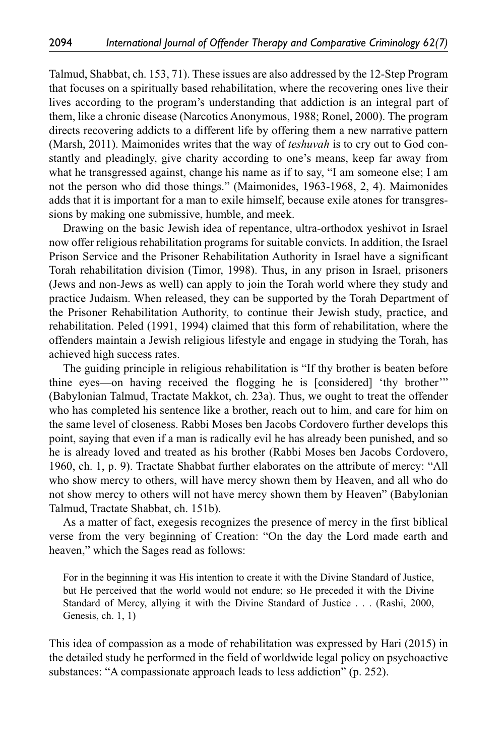Talmud, Shabbat, ch. 153, 71). These issues are also addressed by the 12-Step Program that focuses on a spiritually based rehabilitation, where the recovering ones live their lives according to the program's understanding that addiction is an integral part of them, like a chronic disease (Narcotics Anonymous, 1988; Ronel, 2000). The program directs recovering addicts to a different life by offering them a new narrative pattern (Marsh, 2011). Maimonides writes that the way of *teshuvah* is to cry out to God constantly and pleadingly, give charity according to one's means, keep far away from what he transgressed against, change his name as if to say, "I am someone else; I am not the person who did those things." (Maimonides, 1963-1968, 2, 4). Maimonides adds that it is important for a man to exile himself, because exile atones for transgressions by making one submissive, humble, and meek.

Drawing on the basic Jewish idea of repentance, ultra-orthodox yeshivot in Israel now offer religious rehabilitation programs for suitable convicts. In addition, the Israel Prison Service and the Prisoner Rehabilitation Authority in Israel have a significant Torah rehabilitation division (Timor, 1998). Thus, in any prison in Israel, prisoners (Jews and non-Jews as well) can apply to join the Torah world where they study and practice Judaism. When released, they can be supported by the Torah Department of the Prisoner Rehabilitation Authority, to continue their Jewish study, practice, and rehabilitation. Peled (1991, 1994) claimed that this form of rehabilitation, where the offenders maintain a Jewish religious lifestyle and engage in studying the Torah, has achieved high success rates.

The guiding principle in religious rehabilitation is "If thy brother is beaten before thine eyes—on having received the flogging he is [considered] 'thy brother'" (Babylonian Talmud, Tractate Makkot, ch. 23a). Thus, we ought to treat the offender who has completed his sentence like a brother, reach out to him, and care for him on the same level of closeness. Rabbi Moses ben Jacobs Cordovero further develops this point, saying that even if a man is radically evil he has already been punished, and so he is already loved and treated as his brother (Rabbi Moses ben Jacobs Cordovero, 1960, ch. 1, p. 9). Tractate Shabbat further elaborates on the attribute of mercy: "All who show mercy to others, will have mercy shown them by Heaven, and all who do not show mercy to others will not have mercy shown them by Heaven" (Babylonian Talmud, Tractate Shabbat, ch. 151b).

As a matter of fact, exegesis recognizes the presence of mercy in the first biblical verse from the very beginning of Creation: "On the day the Lord made earth and heaven," which the Sages read as follows:

For in the beginning it was His intention to create it with the Divine Standard of Justice, but He perceived that the world would not endure; so He preceded it with the Divine Standard of Mercy, allying it with the Divine Standard of Justice . . . (Rashi, 2000, Genesis, ch. 1, 1)

This idea of compassion as a mode of rehabilitation was expressed by Hari (2015) in the detailed study he performed in the field of worldwide legal policy on psychoactive substances: "A compassionate approach leads to less addiction" (p. 252).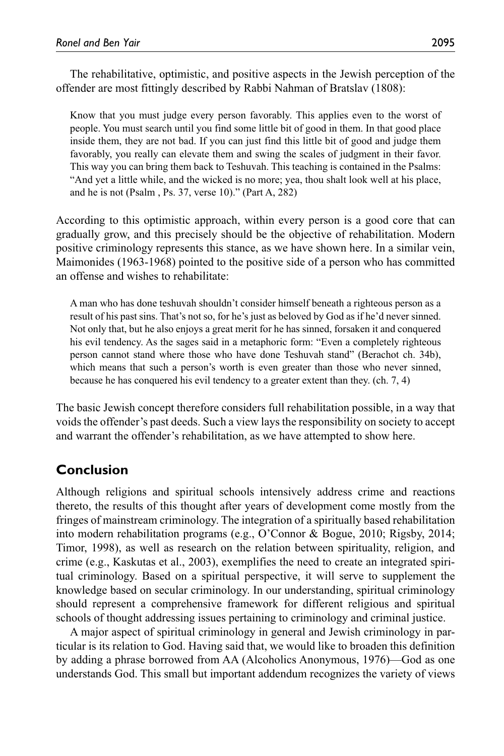The rehabilitative, optimistic, and positive aspects in the Jewish perception of the offender are most fittingly described by Rabbi Nahman of Bratslav (1808):

Know that you must judge every person favorably. This applies even to the worst of people. You must search until you find some little bit of good in them. In that good place inside them, they are not bad. If you can just find this little bit of good and judge them favorably, you really can elevate them and swing the scales of judgment in their favor. This way you can bring them back to Teshuvah. This teaching is contained in the Psalms: "And yet a little while, and the wicked is no more; yea, thou shalt look well at his place, and he is not (Psalm , Ps. 37, verse 10)." (Part A, 282)

According to this optimistic approach, within every person is a good core that can gradually grow, and this precisely should be the objective of rehabilitation. Modern positive criminology represents this stance, as we have shown here. In a similar vein, Maimonides (1963-1968) pointed to the positive side of a person who has committed an offense and wishes to rehabilitate:

A man who has done teshuvah shouldn't consider himself beneath a righteous person as a result of his past sins. That's not so, for he's just as beloved by God as if he'd never sinned. Not only that, but he also enjoys a great merit for he has sinned, forsaken it and conquered his evil tendency. As the sages said in a metaphoric form: "Even a completely righteous person cannot stand where those who have done Teshuvah stand" (Berachot ch. 34b), which means that such a person's worth is even greater than those who never sinned, because he has conquered his evil tendency to a greater extent than they. (ch. 7, 4)

The basic Jewish concept therefore considers full rehabilitation possible, in a way that voids the offender's past deeds. Such a view lays the responsibility on society to accept and warrant the offender's rehabilitation, as we have attempted to show here.

## **Conclusion**

Although religions and spiritual schools intensively address crime and reactions thereto, the results of this thought after years of development come mostly from the fringes of mainstream criminology. The integration of a spiritually based rehabilitation into modern rehabilitation programs (e.g., O'Connor & Bogue, 2010; Rigsby, 2014; Timor, 1998), as well as research on the relation between spirituality, religion, and crime (e.g., Kaskutas et al., 2003), exemplifies the need to create an integrated spiritual criminology. Based on a spiritual perspective, it will serve to supplement the knowledge based on secular criminology. In our understanding, spiritual criminology should represent a comprehensive framework for different religious and spiritual schools of thought addressing issues pertaining to criminology and criminal justice.

A major aspect of spiritual criminology in general and Jewish criminology in particular is its relation to God. Having said that, we would like to broaden this definition by adding a phrase borrowed from AA (Alcoholics Anonymous, 1976)—God as one understands God. This small but important addendum recognizes the variety of views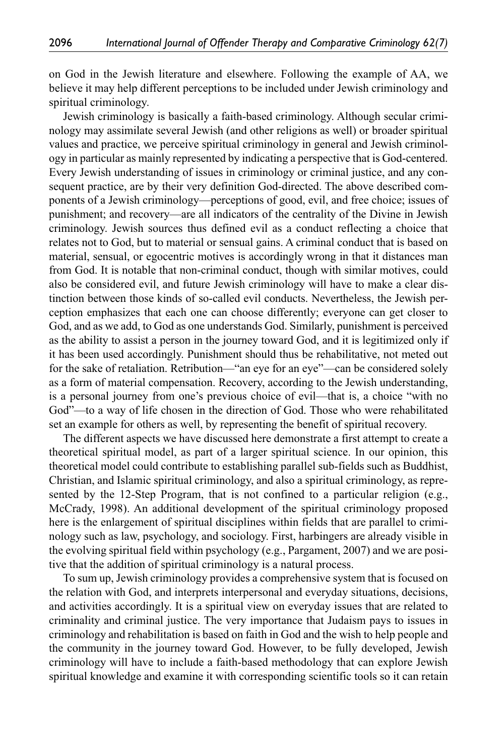on God in the Jewish literature and elsewhere. Following the example of AA, we believe it may help different perceptions to be included under Jewish criminology and spiritual criminology.

Jewish criminology is basically a faith-based criminology. Although secular criminology may assimilate several Jewish (and other religions as well) or broader spiritual values and practice, we perceive spiritual criminology in general and Jewish criminology in particular as mainly represented by indicating a perspective that is God-centered. Every Jewish understanding of issues in criminology or criminal justice, and any consequent practice, are by their very definition God-directed. The above described components of a Jewish criminology—perceptions of good, evil, and free choice; issues of punishment; and recovery—are all indicators of the centrality of the Divine in Jewish criminology. Jewish sources thus defined evil as a conduct reflecting a choice that relates not to God, but to material or sensual gains. A criminal conduct that is based on material, sensual, or egocentric motives is accordingly wrong in that it distances man from God. It is notable that non-criminal conduct, though with similar motives, could also be considered evil, and future Jewish criminology will have to make a clear distinction between those kinds of so-called evil conducts. Nevertheless, the Jewish perception emphasizes that each one can choose differently; everyone can get closer to God, and as we add, to God as one understands God. Similarly, punishment is perceived as the ability to assist a person in the journey toward God, and it is legitimized only if it has been used accordingly. Punishment should thus be rehabilitative, not meted out for the sake of retaliation. Retribution—"an eye for an eye"—can be considered solely as a form of material compensation. Recovery, according to the Jewish understanding, is a personal journey from one's previous choice of evil—that is, a choice "with no God"—to a way of life chosen in the direction of God. Those who were rehabilitated set an example for others as well, by representing the benefit of spiritual recovery.

The different aspects we have discussed here demonstrate a first attempt to create a theoretical spiritual model, as part of a larger spiritual science. In our opinion, this theoretical model could contribute to establishing parallel sub-fields such as Buddhist, Christian, and Islamic spiritual criminology, and also a spiritual criminology, as represented by the 12-Step Program, that is not confined to a particular religion (e.g., McCrady, 1998). An additional development of the spiritual criminology proposed here is the enlargement of spiritual disciplines within fields that are parallel to criminology such as law, psychology, and sociology. First, harbingers are already visible in the evolving spiritual field within psychology (e.g., Pargament, 2007) and we are positive that the addition of spiritual criminology is a natural process.

To sum up, Jewish criminology provides a comprehensive system that is focused on the relation with God, and interprets interpersonal and everyday situations, decisions, and activities accordingly. It is a spiritual view on everyday issues that are related to criminality and criminal justice. The very importance that Judaism pays to issues in criminology and rehabilitation is based on faith in God and the wish to help people and the community in the journey toward God. However, to be fully developed, Jewish criminology will have to include a faith-based methodology that can explore Jewish spiritual knowledge and examine it with corresponding scientific tools so it can retain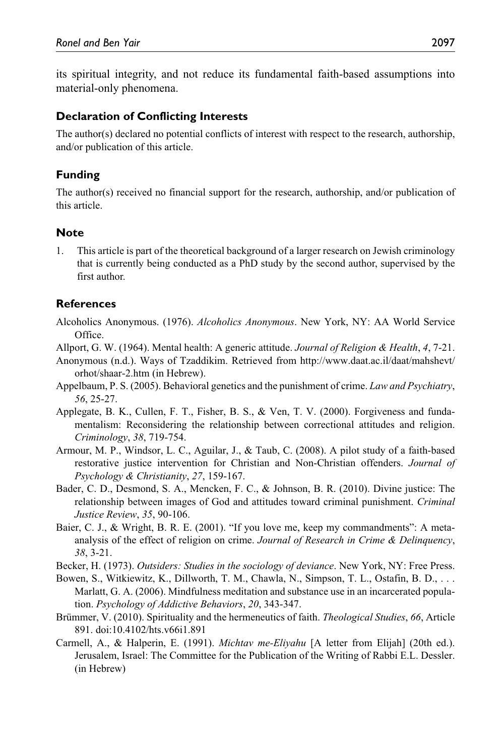its spiritual integrity, and not reduce its fundamental faith-based assumptions into material-only phenomena.

#### **Declaration of Conflicting Interests**

The author(s) declared no potential conflicts of interest with respect to the research, authorship, and/or publication of this article.

#### **Funding**

The author(s) received no financial support for the research, authorship, and/or publication of this article.

#### **Note**

1. This article is part of the theoretical background of a larger research on Jewish criminology that is currently being conducted as a PhD study by the second author, supervised by the first author.

#### **References**

- Alcoholics Anonymous. (1976). *Alcoholics Anonymous*. New York, NY: AA World Service Office.
- Allport, G. W. (1964). Mental health: A generic attitude. *Journal of Religion & Health*, *4*, 7-21.
- Anonymous (n.d.). Ways of Tzaddikim. Retrieved from [http://www.daat.ac.il/daat/mahshevt/](http://www.daat.ac.il/daat/mahshevt/orhot/shaar-2.htm (in Hebrew)) [orhot/shaar-2.htm \(in Hebrew\)](http://www.daat.ac.il/daat/mahshevt/orhot/shaar-2.htm (in Hebrew)).
- Appelbaum, P. S. (2005). Behavioral genetics and the punishment of crime. *Law and Psychiatry*, *56*, 25-27.
- Applegate, B. K., Cullen, F. T., Fisher, B. S., & Ven, T. V. (2000). Forgiveness and fundamentalism: Reconsidering the relationship between correctional attitudes and religion. *Criminology*, *38*, 719-754.
- Armour, M. P., Windsor, L. C., Aguilar, J., & Taub, C. (2008). A pilot study of a faith-based restorative justice intervention for Christian and Non-Christian offenders. *Journal of Psychology & Christianity*, *27*, 159-167.
- Bader, C. D., Desmond, S. A., Mencken, F. C., & Johnson, B. R. (2010). Divine justice: The relationship between images of God and attitudes toward criminal punishment. *Criminal Justice Review*, *35*, 90-106.
- Baier, C. J., & Wright, B. R. E. (2001). "If you love me, keep my commandments": A metaanalysis of the effect of religion on crime. *Journal of Research in Crime & Delinquency*, *38*, 3-21.
- Becker, H. (1973). *Outsiders: Studies in the sociology of deviance*. New York, NY: Free Press.
- Bowen, S., Witkiewitz, K., Dillworth, T. M., Chawla, N., Simpson, T. L., Ostafin, B. D., . . . Marlatt, G. A. (2006). Mindfulness meditation and substance use in an incarcerated population. *Psychology of Addictive Behaviors*, *20*, 343-347.
- Brümmer, V. (2010). Spirituality and the hermeneutics of faith. *Theological Studies*, *66*, Article 891. doi:10.4102/hts.v66i1.891
- Carmell, A., & Halperin, E. (1991). *Michtav me-Eliyahu* [A letter from Elijah] (20th ed.). Jerusalem, Israel: The Committee for the Publication of the Writing of Rabbi E.L. Dessler. (in Hebrew)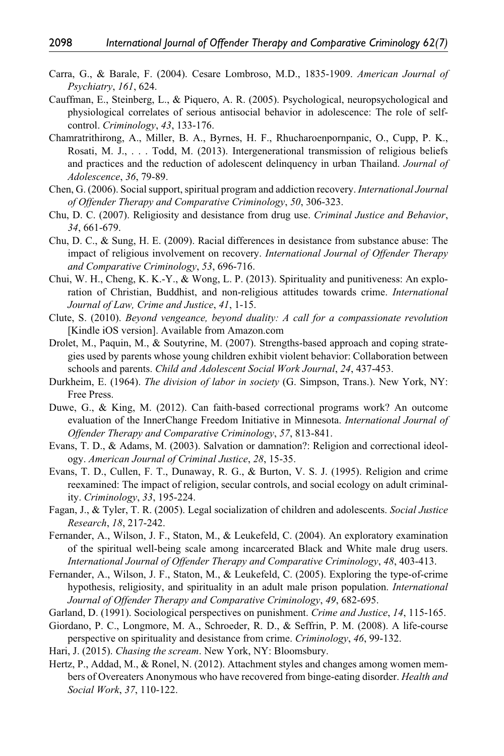- Carra, G., & Barale, F. (2004). Cesare Lombroso, M.D., 1835-1909. *American Journal of Psychiatry*, *161*, 624.
- Cauffman, E., Steinberg, L., & Piquero, A. R. (2005). Psychological, neuropsychological and physiological correlates of serious antisocial behavior in adolescence: The role of selfcontrol. *Criminology*, *43*, 133-176.
- Chamratrithirong, A., Miller, B. A., Byrnes, H. F., Rhucharoenpornpanic, O., Cupp, P. K., Rosati, M. J., . . . Todd, M. (2013). Intergenerational transmission of religious beliefs and practices and the reduction of adolescent delinquency in urban Thailand. *Journal of Adolescence*, *36*, 79-89.
- Chen, G. (2006). Social support, spiritual program and addiction recovery. *International Journal of Offender Therapy and Comparative Criminology*, *50*, 306-323.
- Chu, D. C. (2007). Religiosity and desistance from drug use. *Criminal Justice and Behavior*, *34*, 661-679.
- Chu, D. C., & Sung, H. E. (2009). Racial differences in desistance from substance abuse: The impact of religious involvement on recovery. *International Journal of Offender Therapy and Comparative Criminology*, *53*, 696-716.
- Chui, W. H., Cheng, K. K.-Y., & Wong, L. P. (2013). Spirituality and punitiveness: An exploration of Christian, Buddhist, and non-religious attitudes towards crime. *International Journal of Law, Crime and Justice*, *41*, 1-15.
- Clute, S. (2010). *Beyond vengeance, beyond duality: A call for a compassionate revolution* [Kindle iOS version]. Available from Amazon.com
- Drolet, M., Paquin, M., & Soutyrine, M. (2007). Strengths-based approach and coping strategies used by parents whose young children exhibit violent behavior: Collaboration between schools and parents. *Child and Adolescent Social Work Journal*, *24*, 437-453.
- Durkheim, E. (1964). *The division of labor in society* (G. Simpson, Trans.). New York, NY: Free Press.
- Duwe, G., & King, M. (2012). Can faith-based correctional programs work? An outcome evaluation of the InnerChange Freedom Initiative in Minnesota. *International Journal of Offender Therapy and Comparative Criminology*, *57*, 813-841.
- Evans, T. D., & Adams, M. (2003). Salvation or damnation?: Religion and correctional ideology. *American Journal of Criminal Justice*, *28*, 15-35.
- Evans, T. D., Cullen, F. T., Dunaway, R. G., & Burton, V. S. J. (1995). Religion and crime reexamined: The impact of religion, secular controls, and social ecology on adult criminality. *Criminology*, *33*, 195-224.
- Fagan, J., & Tyler, T. R. (2005). Legal socialization of children and adolescents. *Social Justice Research*, *18*, 217-242.
- Fernander, A., Wilson, J. F., Staton, M., & Leukefeld, C. (2004). An exploratory examination of the spiritual well-being scale among incarcerated Black and White male drug users. *International Journal of Offender Therapy and Comparative Criminology*, *48*, 403-413.
- Fernander, A., Wilson, J. F., Staton, M., & Leukefeld, C. (2005). Exploring the type-of-crime hypothesis, religiosity, and spirituality in an adult male prison population. *International Journal of Offender Therapy and Comparative Criminology*, *49*, 682-695.
- Garland, D. (1991). Sociological perspectives on punishment. *Crime and Justice*, *14*, 115-165.
- Giordano, P. C., Longmore, M. A., Schroeder, R. D., & Seffrin, P. M. (2008). A life-course perspective on spirituality and desistance from crime. *Criminology*, *46*, 99-132.
- Hari, J. (2015). *Chasing the scream*. New York, NY: Bloomsbury.
- Hertz, P., Addad, M., & Ronel, N. (2012). Attachment styles and changes among women members of Overeaters Anonymous who have recovered from binge-eating disorder. *Health and Social Work*, *37*, 110-122.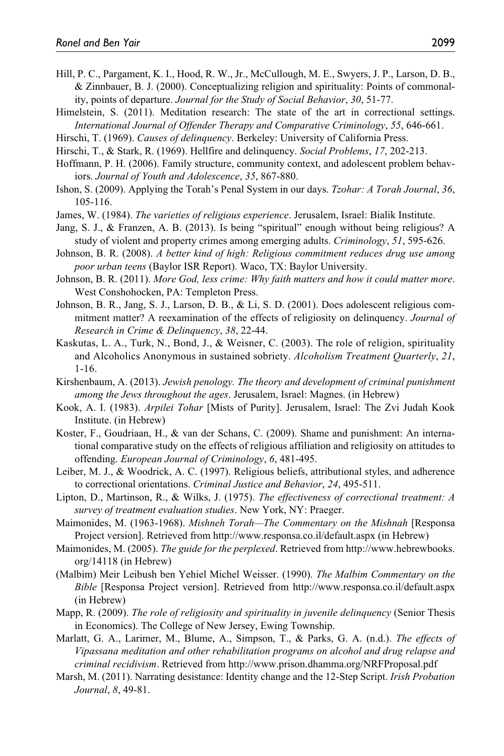- Hill, P. C., Pargament, K. I., Hood, R. W., Jr., McCullough, M. E., Swyers, J. P., Larson, D. B., & Zinnbauer, B. J. (2000). Conceptualizing religion and spirituality: Points of commonality, points of departure. *Journal for the Study of Social Behavior*, *30*, 51-77.
- Himelstein, S. (2011). Meditation research: The state of the art in correctional settings. *International Journal of Offender Therapy and Comparative Criminology*, *55*, 646-661.
- Hirschi, T. (1969). *Causes of delinquency*. Berkeley: University of California Press.
- Hirschi, T., & Stark, R. (1969). Hellfire and delinquency. *Social Problems*, *17*, 202-213.
- Hoffmann, P. H. (2006). Family structure, community context, and adolescent problem behaviors. *Journal of Youth and Adolescence*, *35*, 867-880.
- Ishon, S. (2009). Applying the Torah's Penal System in our days. *Tzohar: A Torah Journal*, *36*, 105-116.
- James, W. (1984). *The varieties of religious experience*. Jerusalem, Israel: Bialik Institute.
- Jang, S. J., & Franzen, A. B. (2013). Is being "spiritual" enough without being religious? A study of violent and property crimes among emerging adults. *Criminology*, *51*, 595-626.
- Johnson, B. R. (2008). *A better kind of high: Religious commitment reduces drug use among poor urban teens* (Baylor ISR Report). Waco, TX: Baylor University.
- Johnson, B. R. (2011). *More God, less crime: Why faith matters and how it could matter more*. West Conshohocken, PA: Templeton Press.
- Johnson, B. R., Jang, S. J., Larson, D. B., & Li, S. D. (2001). Does adolescent religious commitment matter? A reexamination of the effects of religiosity on delinquency. *Journal of Research in Crime & Delinquency*, *38*, 22-44.
- Kaskutas, L. A., Turk, N., Bond, J., & Weisner, C. (2003). The role of religion, spirituality and Alcoholics Anonymous in sustained sobriety. *Alcoholism Treatment Quarterly*, *21*, 1-16.
- Kirshenbaum, A. (2013). *Jewish penology. The theory and development of criminal punishment among the Jews throughout the ages*. Jerusalem, Israel: Magnes. (in Hebrew)
- Kook, A. I. (1983). *Arpilei Tohar* [Mists of Purity]. Jerusalem, Israel: The Zvi Judah Kook Institute. (in Hebrew)
- Koster, F., Goudriaan, H., & van der Schans, C. (2009). Shame and punishment: An international comparative study on the effects of religious affiliation and religiosity on attitudes to offending. *European Journal of Criminology*, *6*, 481-495.
- Leiber, M. J., & Woodrick, A. C. (1997). Religious beliefs, attributional styles, and adherence to correctional orientations. *Criminal Justice and Behavior*, *24*, 495-511.
- Lipton, D., Martinson, R., & Wilks, J. (1975). *The effectiveness of correctional treatment: A survey of treatment evaluation studies*. New York, NY: Praeger.
- Maimonides, M. (1963-1968). *Mishneh Torah—The Commentary on the Mishnah* [Responsa Project version]. Retrieved from <http://www.responsa.co.il/default.aspx>(in Hebrew)
- Maimonides, M. (2005). *The guide for the perplexed*. Retrieved from [http://www.hebrewbooks.](http://www.hebrewbooks.org/14118) [org/14118](http://www.hebrewbooks.org/14118) (in Hebrew)
- (Malbim) Meir Leibush ben Yehiel Michel Weisser. (1990). *The Malbim Commentary on the Bible* [Responsa Project version]. Retrieved from <http://www.responsa.co.il/default.aspx> (in Hebrew)
- Mapp, R. (2009). *The role of religiosity and spirituality in juvenile delinquency* (Senior Thesis in Economics). The College of New Jersey, Ewing Township.
- Marlatt, G. A., Larimer, M., Blume, A., Simpson, T., & Parks, G. A. (n.d.). *The effects of Vipassana meditation and other rehabilitation programs on alcohol and drug relapse and criminal recidivism*. Retrieved from <http://www.prison.dhamma.org/NRFProposal.pdf>
- Marsh, M. (2011). Narrating desistance: Identity change and the 12-Step Script. *Irish Probation Journal*, *8*, 49-81.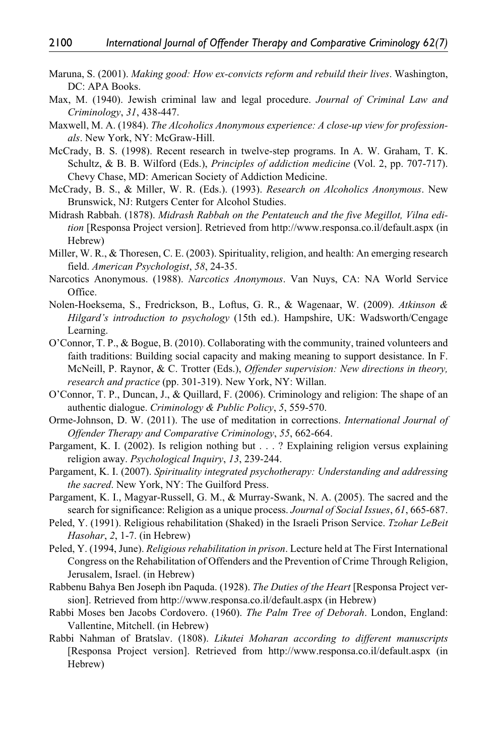- Maruna, S. (2001). *Making good: How ex-convicts reform and rebuild their lives*. Washington, DC: APA Books.
- Max, M. (1940). Jewish criminal law and legal procedure. *Journal of Criminal Law and Criminology*, *31*, 438-447.
- Maxwell, M. A. (1984). *The Alcoholics Anonymous experience: A close-up view for professionals*. New York, NY: McGraw-Hill.
- McCrady, B. S. (1998). Recent research in twelve-step programs. In A. W. Graham, T. K. Schultz, & B. B. Wilford (Eds.), *Principles of addiction medicine* (Vol. 2, pp. 707-717). Chevy Chase, MD: American Society of Addiction Medicine.
- McCrady, B. S., & Miller, W. R. (Eds.). (1993). *Research on Alcoholics Anonymous*. New Brunswick, NJ: Rutgers Center for Alcohol Studies.
- Midrash Rabbah. (1878). *Midrash Rabbah on the Pentateuch and the five Megillot, Vilna edition* [Responsa Project version]. Retrieved from <http://www.responsa.co.il/default.aspx>(in Hebrew)
- Miller, W. R., & Thoresen, C. E. (2003). Spirituality, religion, and health: An emerging research field. *American Psychologist*, *58*, 24-35.
- Narcotics Anonymous. (1988). *Narcotics Anonymous*. Van Nuys, CA: NA World Service Office.
- Nolen-Hoeksema, S., Fredrickson, B., Loftus, G. R., & Wagenaar, W. (2009). *Atkinson & Hilgard's introduction to psychology* (15th ed.). Hampshire, UK: Wadsworth/Cengage Learning.
- O'Connor, T. P., & Bogue, B. (2010). Collaborating with the community, trained volunteers and faith traditions: Building social capacity and making meaning to support desistance. In F. McNeill, P. Raynor, & C. Trotter (Eds.), *Offender supervision: New directions in theory, research and practice* (pp. 301-319). New York, NY: Willan.
- O'Connor, T. P., Duncan, J., & Quillard, F. (2006). Criminology and religion: The shape of an authentic dialogue. *Criminology & Public Policy*, *5*, 559-570.
- Orme-Johnson, D. W. (2011). The use of meditation in corrections. *International Journal of Offender Therapy and Comparative Criminology*, *55*, 662-664.
- Pargament, K. I. (2002). Is religion nothing but . . . ? Explaining religion versus explaining religion away. *Psychological Inquiry*, *13*, 239-244.
- Pargament, K. I. (2007). *Spirituality integrated psychotherapy: Understanding and addressing the sacred*. New York, NY: The Guilford Press.
- Pargament, K. I., Magyar-Russell, G. M., & Murray-Swank, N. A. (2005). The sacred and the search for significance: Religion as a unique process. *Journal of Social Issues*, *61*, 665-687.
- Peled, Y. (1991). Religious rehabilitation (Shaked) in the Israeli Prison Service. *Tzohar LeBeit Hasohar*, *2*, 1-7. (in Hebrew)
- Peled, Y. (1994, June). *Religious rehabilitation in prison*. Lecture held at The First International Congress on the Rehabilitation of Offenders and the Prevention of Crime Through Religion, Jerusalem, Israel. (in Hebrew)
- Rabbenu Bahya Ben Joseph ibn Paquda. (1928). *The Duties of the Heart* [Responsa Project version]. Retrieved from<http://www.responsa.co.il/default.aspx> (in Hebrew)
- Rabbi Moses ben Jacobs Cordovero. (1960). *The Palm Tree of Deborah*. London, England: Vallentine, Mitchell. (in Hebrew)
- Rabbi Nahman of Bratslav. (1808). *Likutei Moharan according to different manuscripts* [Responsa Project version]. Retrieved from <http://www.responsa.co.il/default.aspx> (in Hebrew)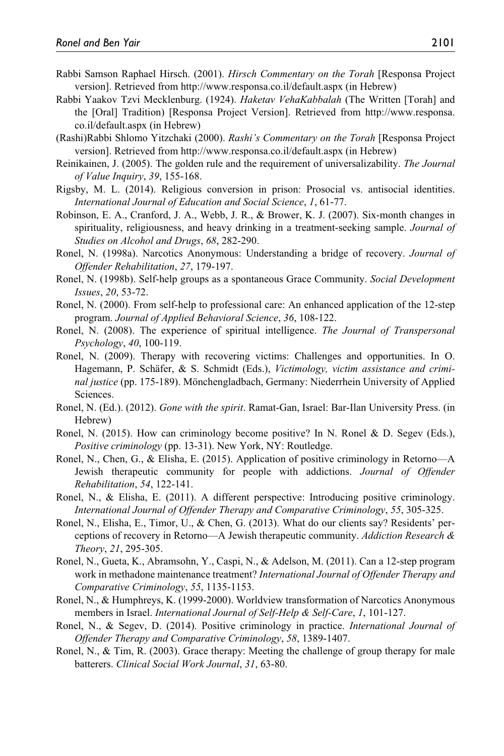- Rabbi Samson Raphael Hirsch. (2001). *Hirsch Commentary on the Torah* [Responsa Project version]. Retrieved from <http://www.responsa.co.il/default.aspx>(in Hebrew)
- Rabbi Yaakov Tzvi Mecklenburg. (1924). *Haketav VehaKabbalah* (The Written [Torah] and the [Oral] Tradition) [Responsa Project Version]. Retrieved from [http://www.responsa.](http://www.responsa.co.il/default.aspx) [co.il/default.aspx](http://www.responsa.co.il/default.aspx) (in Hebrew)
- (Rashi)Rabbi Shlomo Yitzchaki (2000). *Rashi's Commentary on the Torah* [Responsa Project version]. Retrieved from <http://www.responsa.co.il/default.aspx>(in Hebrew)
- Reinikainen, J. (2005). The golden rule and the requirement of universalizability. *The Journal of Value Inquiry*, *39*, 155-168.
- Rigsby, M. L. (2014). Religious conversion in prison: Prosocial vs. antisocial identities. *International Journal of Education and Social Science*, *1*, 61-77.
- Robinson, E. A., Cranford, J. A., Webb, J. R., & Brower, K. J. (2007). Six-month changes in spirituality, religiousness, and heavy drinking in a treatment-seeking sample. *Journal of Studies on Alcohol and Drugs*, *68*, 282-290.
- Ronel, N. (1998a). Narcotics Anonymous: Understanding a bridge of recovery. *Journal of Offender Rehabilitation*, *27*, 179-197.
- Ronel, N. (1998b). Self-help groups as a spontaneous Grace Community. *Social Development Issues*, *20*, 53-72.
- Ronel, N. (2000). From self-help to professional care: An enhanced application of the 12-step program. *Journal of Applied Behavioral Science*, *36*, 108-122.
- Ronel, N. (2008). The experience of spiritual intelligence. *The Journal of Transpersonal Psychology*, *40*, 100-119.
- Ronel, N. (2009). Therapy with recovering victims: Challenges and opportunities. In O. Hagemann, P. Schäfer, & S. Schmidt (Eds.), *Victimology, victim assistance and criminal justice* (pp. 175-189). Mönchengladbach, Germany: Niederrhein University of Applied Sciences.
- Ronel, N. (Ed.). (2012). *Gone with the spirit*. Ramat-Gan, Israel: Bar-Ilan University Press. (in Hebrew)
- Ronel, N. (2015). How can criminology become positive? In N. Ronel & D. Segev (Eds.), *Positive criminology* (pp. 13-31). New York, NY: Routledge.
- Ronel, N., Chen, G., & Elisha, E. (2015). Application of positive criminology in Retorno—A Jewish therapeutic community for people with addictions. *Journal of Offender Rehabilitation*, *54*, 122-141.
- Ronel, N., & Elisha, E. (2011). A different perspective: Introducing positive criminology. *International Journal of Offender Therapy and Comparative Criminology*, *55*, 305-325.
- Ronel, N., Elisha, E., Timor, U., & Chen, G. (2013). What do our clients say? Residents' perceptions of recovery in Retorno—A Jewish therapeutic community. *Addiction Research & Theory*, *21*, 295-305.
- Ronel, N., Gueta, K., Abramsohn, Y., Caspi, N., & Adelson, M. (2011). Can a 12-step program work in methadone maintenance treatment? *International Journal of Offender Therapy and Comparative Criminology*, *55*, 1135-1153.
- Ronel, N., & Humphreys, K. (1999-2000). Worldview transformation of Narcotics Anonymous members in Israel. *International Journal of Self-Help & Self-Care*, *1*, 101-127.
- Ronel, N., & Segev, D. (2014). Positive criminology in practice. *International Journal of Offender Therapy and Comparative Criminology*, *58*, 1389-1407.
- Ronel, N., & Tim, R. (2003). Grace therapy: Meeting the challenge of group therapy for male batterers. *Clinical Social Work Journal*, *31*, 63-80.